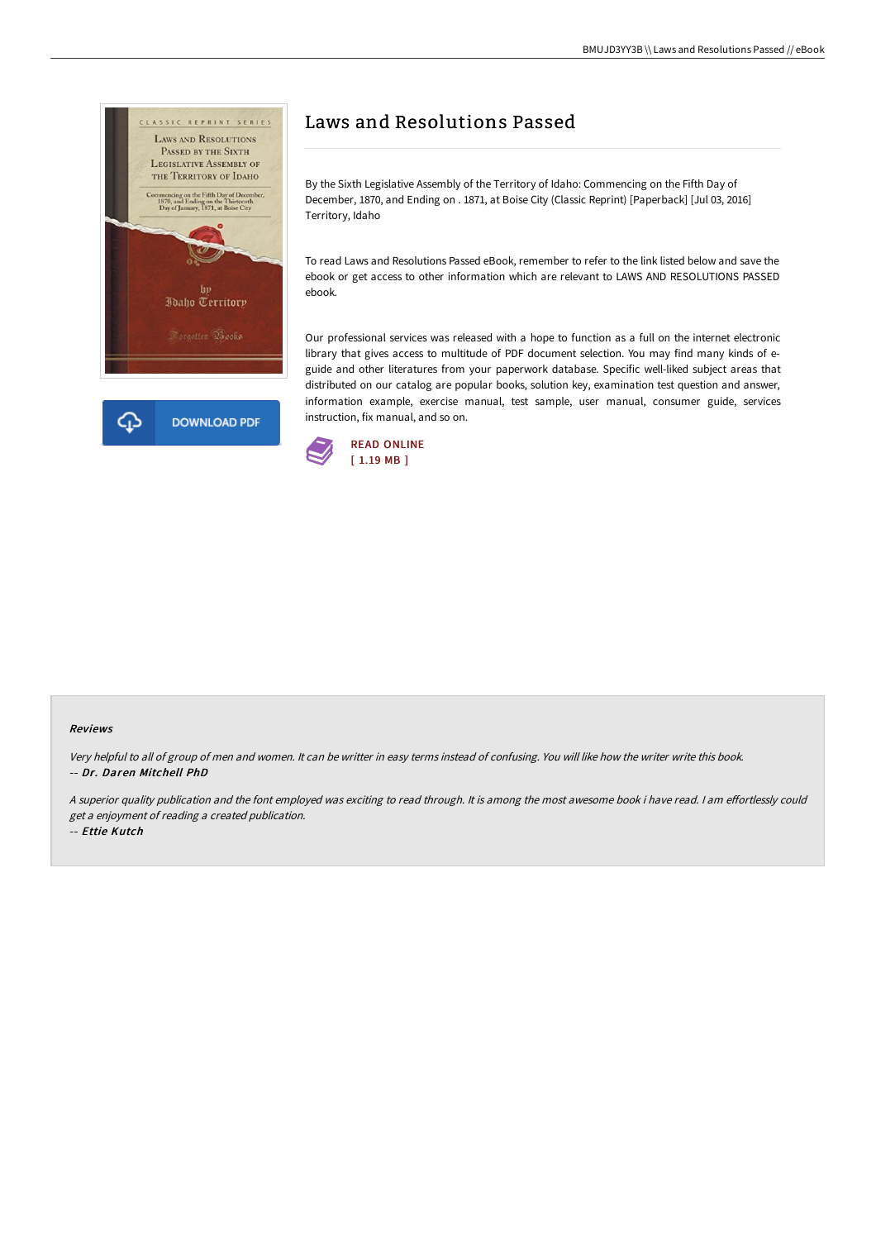

# Laws and Resolutions Passed

By the Sixth Legislative Assembly of the Territory of Idaho: Commencing on the Fifth Day of December, 1870, and Ending on . 1871, at Boise City (Classic Reprint) [Paperback] [Jul 03, 2016] Territory, Idaho

To read Laws and Resolutions Passed eBook, remember to refer to the link listed below and save the ebook or get access to other information which are relevant to LAWS AND RESOLUTIONS PASSED ebook.

Our professional services was released with a hope to function as a full on the internet electronic library that gives access to multitude of PDF document selection. You may find many kinds of eguide and other literatures from your paperwork database. Specific well-liked subject areas that distributed on our catalog are popular books, solution key, examination test question and answer, information example, exercise manual, test sample, user manual, consumer guide, services instruction, fix manual, and so on.



#### Reviews

Very helpful to all of group of men and women. It can be writter in easy terms instead of confusing. You will like how the writer write this book. -- Dr. Daren Mitchell PhD

A superior quality publication and the font employed was exciting to read through. It is among the most awesome book i have read. I am effortlessly could get <sup>a</sup> enjoyment of reading <sup>a</sup> created publication.

-- Ettie Kutch